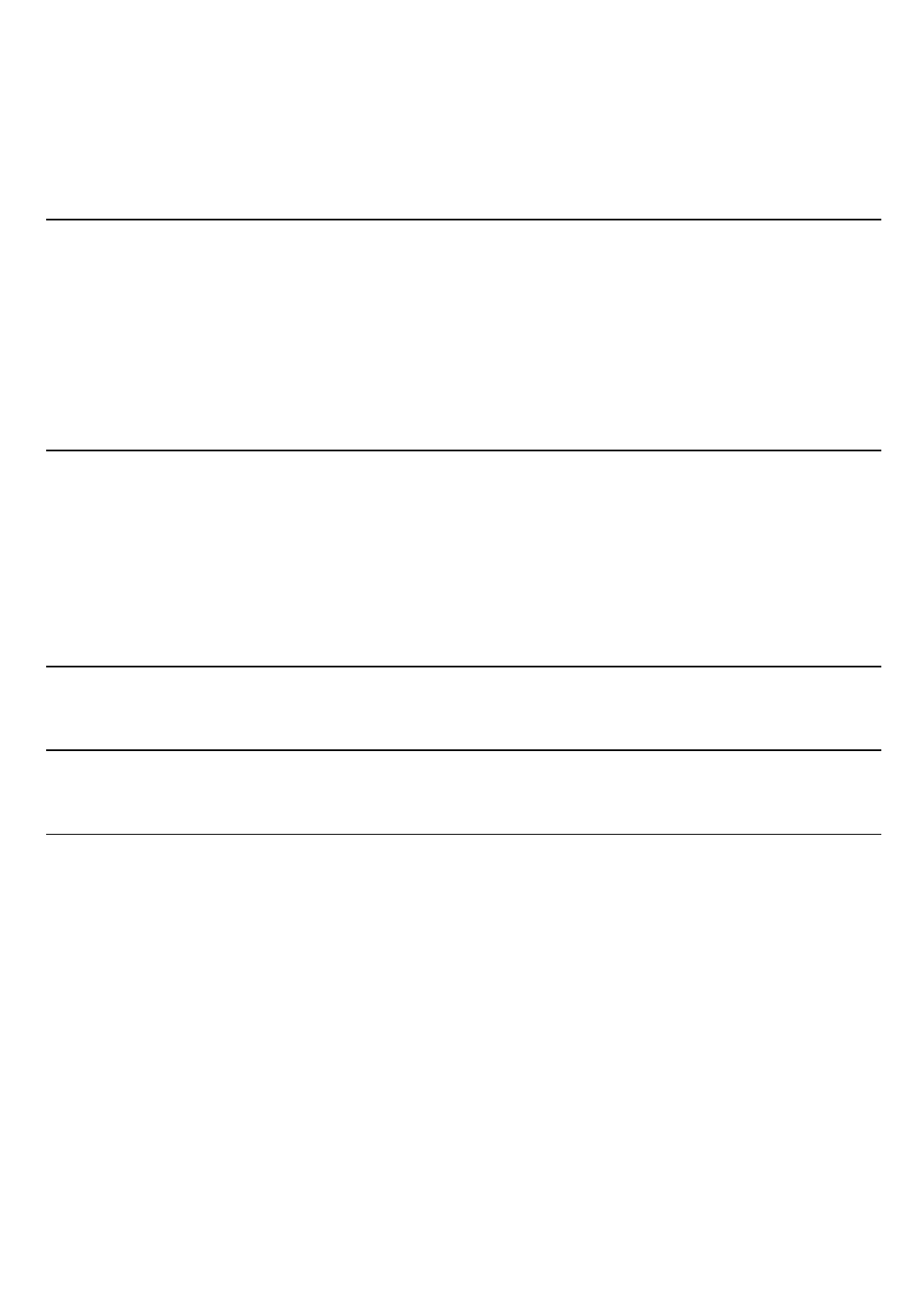## Priorities for social science and humanities research on the challenges of moving beyond animal-based food systems

Morris, Carol

2021-02-03

Morris, C, Kaljonen, M, Aavik, K, Balazs, B, Cole, M, Coles, B, Efstathiu, S, Fallon, T , Foden , M , Giraud , E H , Goodman , M , Kershaw , E H , Helliwell , R , Hobson-West , P , Hayry , M , Jallinoja , P , Jones , M , Kaarlenkaski , T , Laihonen , M , Lahteenmaki-Uutela , A , Kupsala , S , Lonkila , A , Martens , L , McGlacken , R , Mylan , J , Niva , M , Roe , E , Twine , R , Vinnari , M & White , R 2021 , ' Priorities for social science and humanities research on the challenges of moving beyond animal-based food systems ' , Humanities & social sciences communications , vol. 8 , 38 . https://doi.org/10.1057/s41599-021-00714-z

http://hdl.handle.net/10138/334571 https://doi.org/10.1057/s41599-021-00714-z

cc\_by publishedVersion

Downloaded from Helda, University of Helsinki institutional repository.

This is an electronic reprint of the original article.

This reprint may differ from the original in pagination and typographic detail.

Please cite the original version.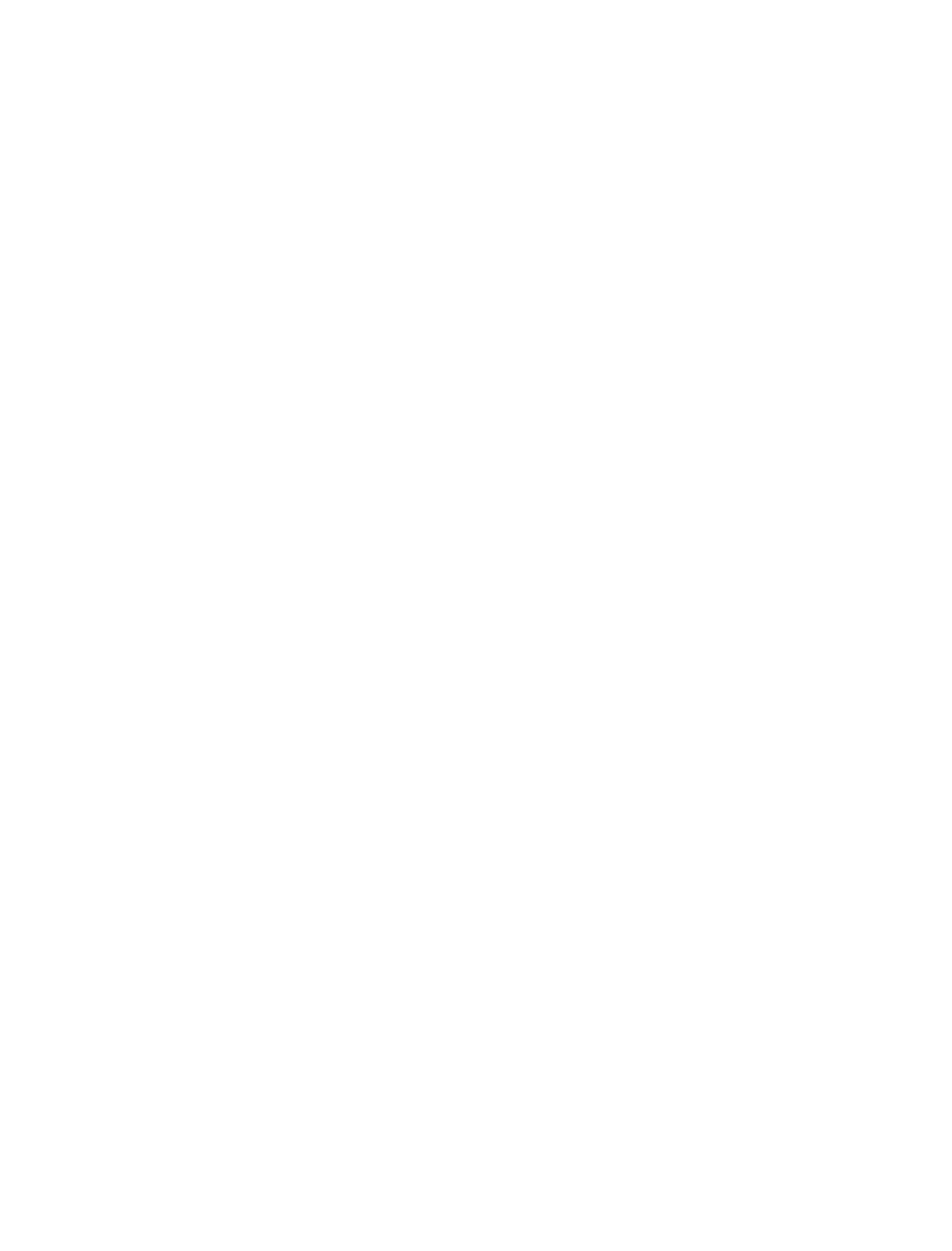## ARTICLE

Check for upd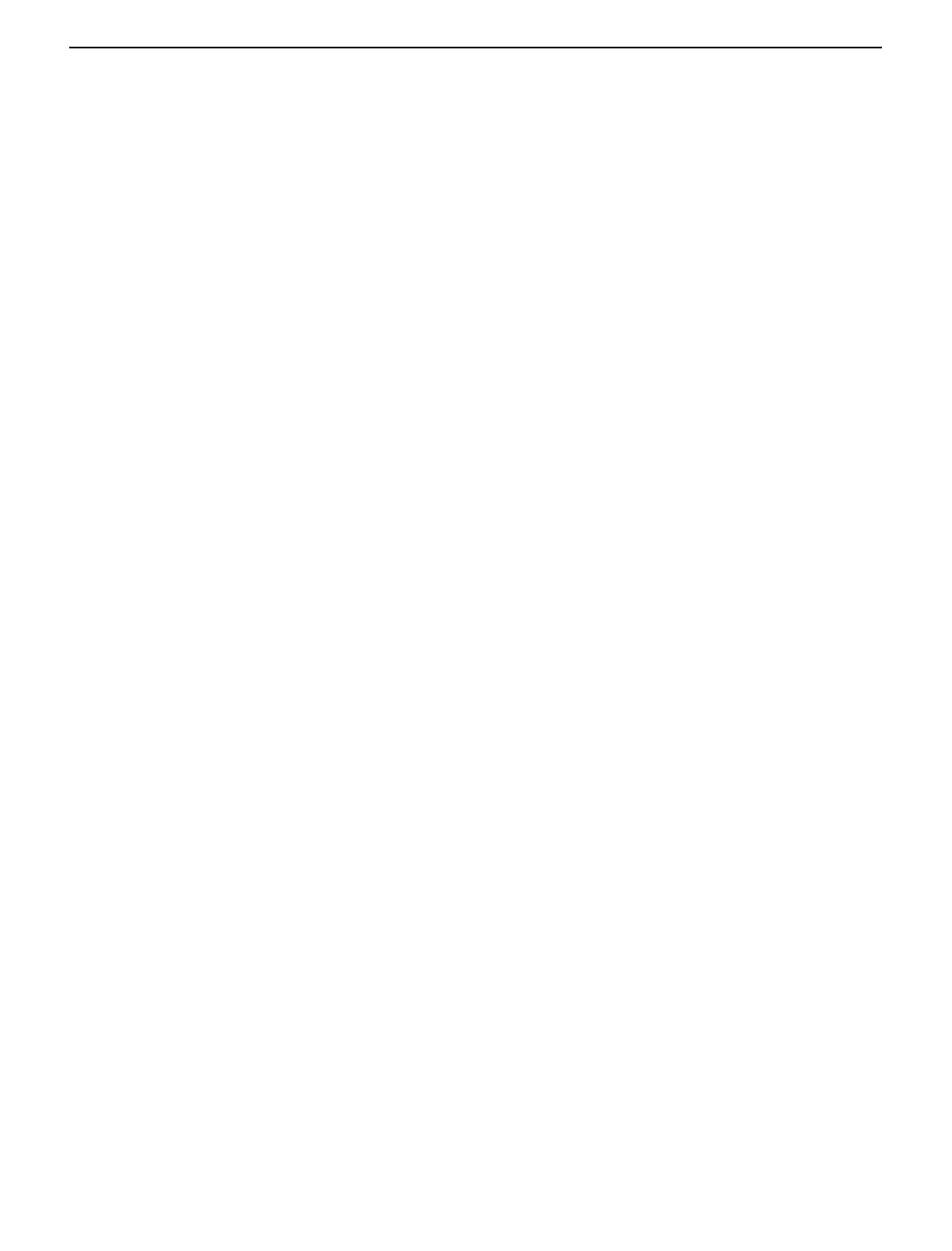## Introduction

Increasingly highe presearch is being undertakene interestation (e.go. Aamia disocio-environmental challenges associated will allem energial and consumption of food from animal syntem of and Consumption of food from animal ncreasingly higle pesearch is being undertakene gatrodihe egetarian (e.20AaBibardsworth and Keil, socio-environmental challenges associated **wide Boer etar;** Doyle,01 Biddes,99 Greenebaum production and consumption of food from **animBlextiad)d&**Jorris and Kir@@@,&osenfeld and hungern the last 50 years the global net consu<del>Papt)20 Gamdeaa</del>rious institutional dimensions of ve has quadrupled, as the global population is o**nnaveragetæriamis**m (e.@OA&**@b**le and Mor@@n1,1 twice as much meat as their grandparents a**Adœilæds\bædl@f** research highlights the structur number of people  $\cancel{\alpha}$ @@LSThe rapid int**enti**on o $\acute{\text{g}}$ ical reproduction of animal-based food systems, animal production that underpins the rise in m**earhitansly**mip**hiibit** transitions to plant-based alter has had a vast impact on the air, land and wat**ek mirthe plaset**eirand Stev2aiftNibert2016 wine, the form of not only emissions from farm an man tutab to ally sis of current regimes of meat provision of the  $i$ emissions from feed cultivation, land and soil **(degrādadiand &Qd)** Fitzgerald and T**ayld**iourat and water pollution (Godfrægi<del>dP</del>6C201Springmanlæpille2O1Weis2O02O) bas been accompanied by wo et al2O1&Villett et2a0,).9The negative health efoecthe egfovernance and politics of transitions towa consuming large quantities of red and proces**sed and parodo diairy**and consumption (e.g. de Bakker al are also well known, although con**tes sed (Brono**lo) de Boer et 201,1 Chiles, 01 Garnett et 201,1 5 et al2O), while risks of food poisoning and an**taestadius atch**lighen et 2019 2020 orris et al., tance are a**em**bii ith inte**dsi**vestock produ**dibidi**n (2001 Morri8O1 Singe2O1&innari and Vinn201), 4s 20)5Attention has been drawn to the neend florella asignviork on transforming food practices that reduction in the production and consumptiocenfr&bod tinenWestern plate and beyond (Cd2Shove animals and a concomitant increase in plant-ba**Bedteat1i&f\$Waitleidu &CalP**lansen and Jak**alosen**, et al2O). This can be viewed as an instantiatio**rhef a societ**al and moral economies of alternative grand challenge as it concerns the socio-econ(**Dniesseystemd ke@Dial&l**ylan et **20,1 S**exto20018 whole and thus requires system transformat**iSex(Kurhat2a):(rSaepi**hens **etG)**. And the consumption of Rip,201&chot and Steinm20e)l&\$uch challenges, has novel products (e.g. El $\bm{\mathcal{Q}}$ enthan est all., 2004;  $\bm{\mathcal{Q}}$ the attendant multi-faceted processes of **\hamge exquira@O00**as also attracted research atte address them, involve numerous actors with **(aoiekilpenspikatjioee))**.1 on the nature of the problem to be solved, and **Trosvrithmagdy**eof scholarship examines different resolved. Researchers are one diverse grou**p**a**geneuaitemo and f**uture food systems as these co knowledge required to formulate an effectiv**e ssedefabdssplonse**ver, it is research that is disper This paper contributes to this process by pres**enaysgdkey in es with** particular aspects of food prod questions in relation to a move beyond anima**bbanadiofood piys**vision. This runs the risk of social s tems as id**edti**by European academics in the s**dwinhanieinseps**erspectives not being given due attent and humanities. when food policy debates and accompanying res

Addressing societal grand challenges can be**griew.eness.aechal**ying increasing interest to more hol lenge in itself, requiring a willingness to explo**besælvapprobirhæ**s when seeking to build more sus† tions of existing and novel approaches to knowyedigenprede the as include the Farm to Fork (Kuhlmann and **Rip)&**s r**e**cted in the frequentt**bs**eEoufropean Commissi&02(@6d the food system multi-, inter- and trans-disciplinary research **appgoaches spitolan**bted by the Food and Agriculture ( bring together researchers from the natural (cAO)cas) socialaso IPES 120015HLPE,2017 In ences and humanities as well as non-acade**midrstskegiohdess**cietalgran**d challengegoonic**hal-(Efstath $\mathfrak{w}$ 0). However, it has been shown tha**bases food sy**stems the research prioritisation exer can narrowly position or even mis-conceive t**he isopapierutions of**esigned to help steer and stimu social sciences and humani**lië\$@Sboxe**e el@lj,4 research in the social sciences and humanities in wa Felt201Balmer et210.);Beaving such research programmestential in transforming food policy and ass onlyselectively **opeln**e breadth of competencies **and ansights**ding agendas based on a food system p provided by these disciplines (Mor<del>illished sel</del>lectiwas inspired by Suthleerland Me(Ghundherland et al., openness may impoverish, if not inhibit resea**2CiQ)?@qaf.cOm**ofdeliberative research prioritisatio practical response is to make spaces in which **gairiadsriences tand** ion in recent years and which ai humanities scholars have the freedom to coll<del>abgethherelyeslewisch</del>ers and stakeholders to discuss research agendase**thathre**full spectrum of exp**erdnse, cap**paderstanding of knowledge needs in emer abilities and analytical perspectives in these **disqupinges. Iareais** of particularly pressing policy n article we report the creation and outcome of one such space in research prioritisation exercises are valuable in creating which academic leaders within the social scien**ces aend tumandues and i**one upon societally releva came together to address future research p**riesetaeshforeedsviAs** adapted for our purposes we er beyond animal-based food systems. We acknœ**veledgistsherpartium**hanities scholars with an aim to l nature of this exercise, and the situatedness offi**ridies stetroffing,oxe sea**rch capacity and impact amor (Haraway,  $9\beta$  and offer thesee depriorities asthis emergent but still largely fragmented area of res important stage in a wider dialogue. The collaborative effort was initiated by two rese

In undertaking this task the article draws at**feomiomed.hes blaned t**her from Finland, who have also into changing patterns of consumption and pleaduchtiop mental only this article. The exercise include from animals that is carried out ac**e@sswi@tlipe**eation rounds amongst research**end**.active in the social science and the humanities, some of whic**lnis of adultel loongstve**letail the method used. We con standing. Prominent is consumption-orient**daly wieckussing he**ow the par**ticipannis den**t areas of motivations and behaviours, practices, and ide**ne<del>idens</del> of beleoesing**nd present key research questior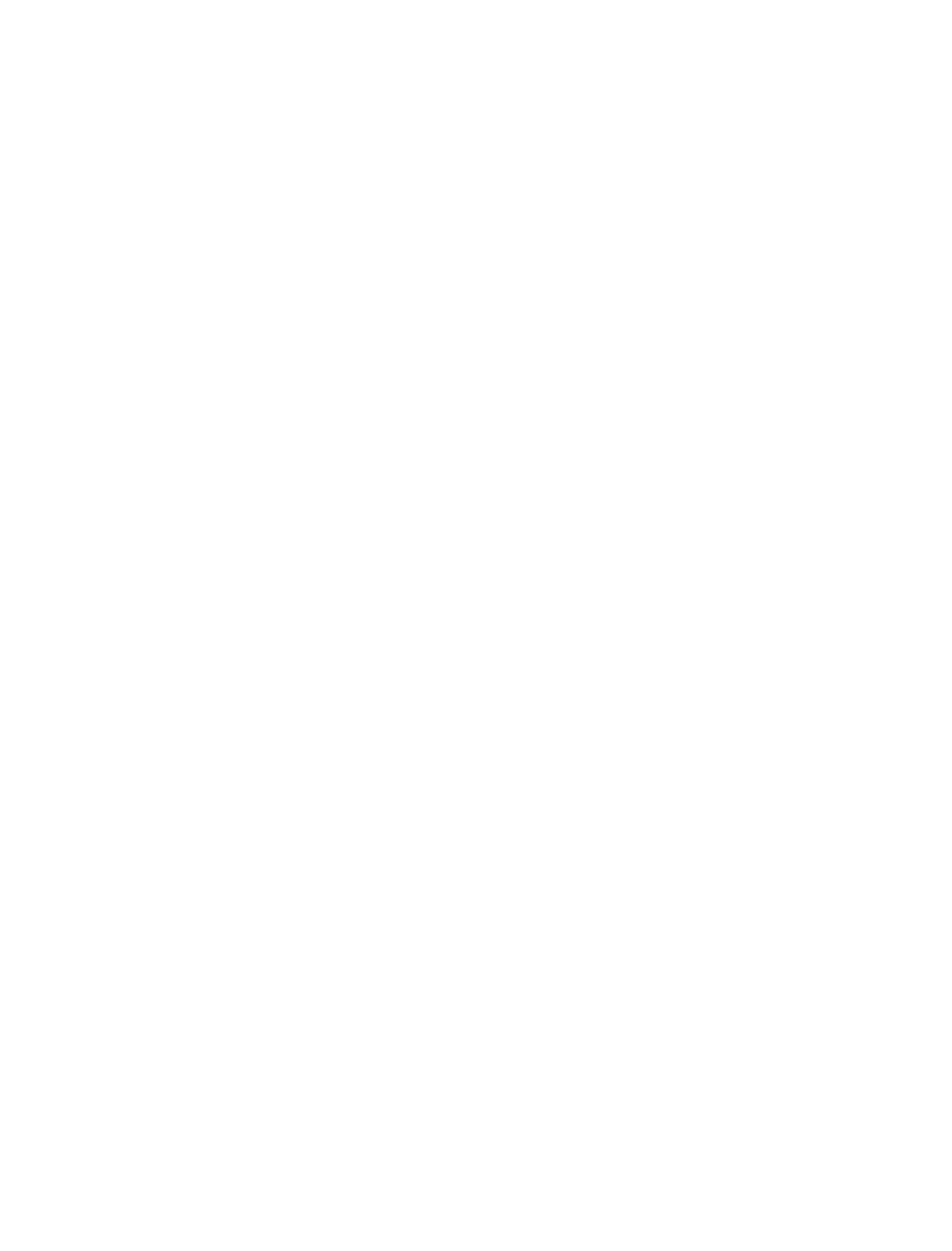sciences and humanities. The conclusions of the process draw attention to fundamental tensions at the heart of the subject matter that should be given more sustained consideration in future research, notably whether or not animals should be farmed for food, and the need to extend the exercise to engage a range of other researchers and non-academic actors including those whose livelihoods currently depend on farming animals for food.

## Research prioritisation exercise

The Sutherland Method has come to prominence over the last decade as a participatory approach, engaging both researchers and non-academic stakeholders, to identifying and prioritising research questions in peddicular quiry including those which address societal grand challenges such as biodiversity loss, food supply and security (Sutherland et al., 2009) Pretty et 2011 Ongram et 2011, 3Named after William Sutherland, who has played a leading role in developing and reporting the method, it has subsequently been utilised successfully inelds as diverse as animal research  $2$   $\mathbb{D}$   $\mathbb{D}$   $\mathbb{D}$  and  $\mathbb{D}$ , legislative science advice (Akenib find the human microbiome (Greenhou@O@tahumber of methods exist to elicit expert views on matters of concern, e.g. the Delphi method, the James Lind Alliance (JLA) approach used in medical research (e.g. Hass<sup>on et the James Lind Alliance, 2020)</sub></sup> and systematic literature reviews the timos care search gaps in a certatiof enquiry (Petticrew and Roberts, We chose the Sutherland Method because it is specidesigned to support the collaborative development of research agendas through a combination of survey and face-to-face interactions between relatively small groups of participants.

In designing the distinct phases of our research prioritisation exercise we were guided by earlier exercises but translated them to our needs in working with social sciences and humanities researchers. It is acknowledged that the inclusion only of researchers in this process, albeit academic leaders in the research area, is a departure from the Sutherland Method and those of the Delphi and JLA methods as originally conceived. However, this is an appropriate, initial stage of collaborative research prioritisation within the context of a dispersed area of enquiry. As explained in the sectibrtroductione deliberate focus on the social sciences and humanities provided a dedicated space for these disciplines to frame research questions without feeling constrained to accommodate the concerns of other disciplines and agendas, thereby helping to create research capacity but also build coordination amongst scholars to support system-wide change. In addition, the focus is justi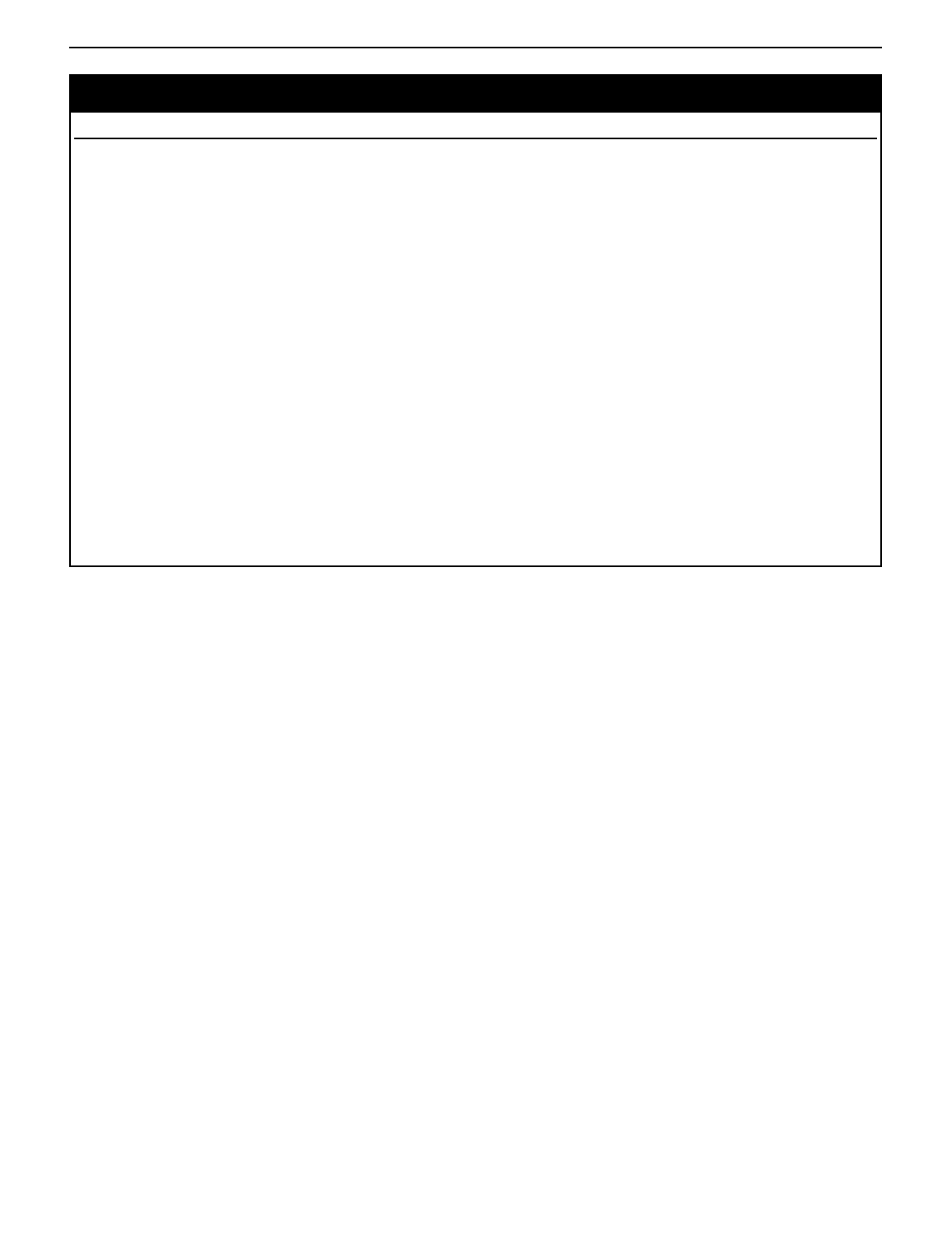| <b>Stages</b>                                                                                                                           | Tasks                                                                  | Number of researchers involved                  |
|-----------------------------------------------------------------------------------------------------------------------------------------|------------------------------------------------------------------------|-------------------------------------------------|
| 1. Online survey (May 2019)                                                                                                             | Identication of 10 most important research                             | Survey sent to 30 researchers, who were         |
|                                                                                                                                         | questions by each participant.                                         | asked to circulate it to their networks as well |
|                                                                                                                                         | Commenting on the area of research interest by 19 answers received     |                                                 |
|                                                                                                                                         | each participant.                                                      |                                                 |
|                                                                                                                                         | First grouping of research questions into research                     |                                                 |
|                                                                                                                                         | themes on the basis of the survey results.                             |                                                 |
| Short presentations of the research history of the researchers<br>2. Deliberative workshop in UK (June 2019)                            |                                                                        |                                                 |
|                                                                                                                                         | participants.                                                          |                                                 |
|                                                                                                                                         | Prioritisation of the research questions.                              |                                                 |
|                                                                                                                                         | Collective discussion on the desition of the area                      |                                                 |
|                                                                                                                                         | of research interest.                                                  |                                                 |
| 3. Rewording of priority research questions and Rewording and clarication of the prioritised<br>classi cation of research themes (July, | research questions.                                                    | Two lead authors                                |
| <b>August 2019)</b>                                                                                                                     | Drafting a text on the denition of the area of                         |                                                 |
|                                                                                                                                         | research interest.                                                     |                                                 |
| 4. Deliberative workshop in Finland                                                                                                     | Short presentations of the research history of the 16 researchers      |                                                 |
| (September 2019)                                                                                                                        | participants. Further iteration of the priority                        |                                                 |
|                                                                                                                                         | research questions.                                                    |                                                 |
|                                                                                                                                         | Discussion on the draft text describing the area of                    |                                                 |
|                                                                                                                                         | research interest.                                                     |                                                 |
| 5. Re nement of research questions and themes                                                                                           | Further nement of the prioritised research                             | Two lead authors                                |
|                                                                                                                                         | questions and research themes.                                         |                                                 |
| 6. Collaborative writing                                                                                                                | Two lead authors produced thest manuscript to 30 researchers           |                                                 |
|                                                                                                                                         | which the other authors contributed.                                   |                                                 |
|                                                                                                                                         | The revisions to the text were made by the two                         |                                                 |
|                                                                                                                                         | lead authors, and then discussed, need, and<br>approved by the others. |                                                 |
|                                                                                                                                         |                                                                        |                                                 |

In the fourth stagethe questions and the text duing the area article, via a shared document, to all participants. They revised of research interest were subject to further deliberation in a halfd edited the text and provided references to additional literaday workshop held in Tampere, Finland. This workshop was oture allowing for a collaborative writing process between 30 of several pre-congress workshops organised in association witthors.

the conference of the European Society for Agriculture and Foodn terms of research ethics, the research project of which this Ethics (EurSafe). The invitation to the workshop was sent to allercise comprised one dimension has passed institutional ethical conference participants. In addition, several Finnish scholars wereiew. No personal nor sensitive information was collected invited directly to secure a breadth of participation. In total 16 uring the research prioritisation exercise. All of those involved researchers took part in the workshoparticipants received in participated on an informed and voluntary basis with the possiadvance the list of priority research questions and the commenility of becoming a co-author and thereby furtherwning the tary on the nature and scope of theld of research enquiry results.

developed during stage three of the process. The academic pro of participants was slightly different to thest workshop which

of participants was slightly different to thest workshop which Qe ning an emerging area of research interest

re ected in part the ethics focus of the conference, attracting bδth humanities and social science scholars including from philosophy, political science, sociology, geography and ecological economics. This had a notable impact on the nature and focus of the discussion. For example, participants were much more critical of the 'de-animalisingframing in part because this has a negative meaning for some food and animal ethicists. Like thet mearing for some food and animal eductor. End that adoption of the more dynamic wording the yond animal-based<br>workshop, all career stages were represented, and most particial expressive eleberate this decision below and di pants were female. Participants were invited to discuss and make suggestions for developing the draft text, developed in stage  $3.8\%$ de ning the research area. They were also asked to discuss each of the questions in detail, e.g. to make suggestions about rewording and other forms of editing and encouraged to identify gaps in the In both the Nottingham and Tampere workshops we discussed  $\rm\ddot{R}$ ρw research that is beginning to coalesce around a move beyond animal-based food systems could be referred tonede and conceptualised. In the invitation to the exercise, we entitled the area of enquiry asde-animalising the food system hich, follŏwing discussion amongst participating researchers, led to the food systems We elaborate this decision below and discuss how participants made sense of the nature and scope of research in this area, including its complexity and contention, the geographical locations of empirical research, and the role for interänd trans-disciplinary research approaches.

research questions. In the Tampere workshop, all participants

discussed the questions together instead of dividing into smalleom 'de-animalising the food systemto 'beyond animalgroups. Subsequent to the workshop, the fth stagethe lead authors food systemis derived from the idea of the animalising of food based food systemsThe initial framing of de-animalising the

undertook a further renement and consolidation of the questiorsystems (Fourat and Lepilleg017) or meati cation (Weis, list. For example, several questions were reworked to enhance, 2015 of diets, i.e. the signicant increase in the number of their clarity and cogency and to change their emphasis from imals used in food production globally and associated with the future situations to the study of present actions and interventionstensi cation of production systems. In imalising the food In the sixth stagethe lead authors circulated a draft text of thisystem means using more animals and more intensively then it is